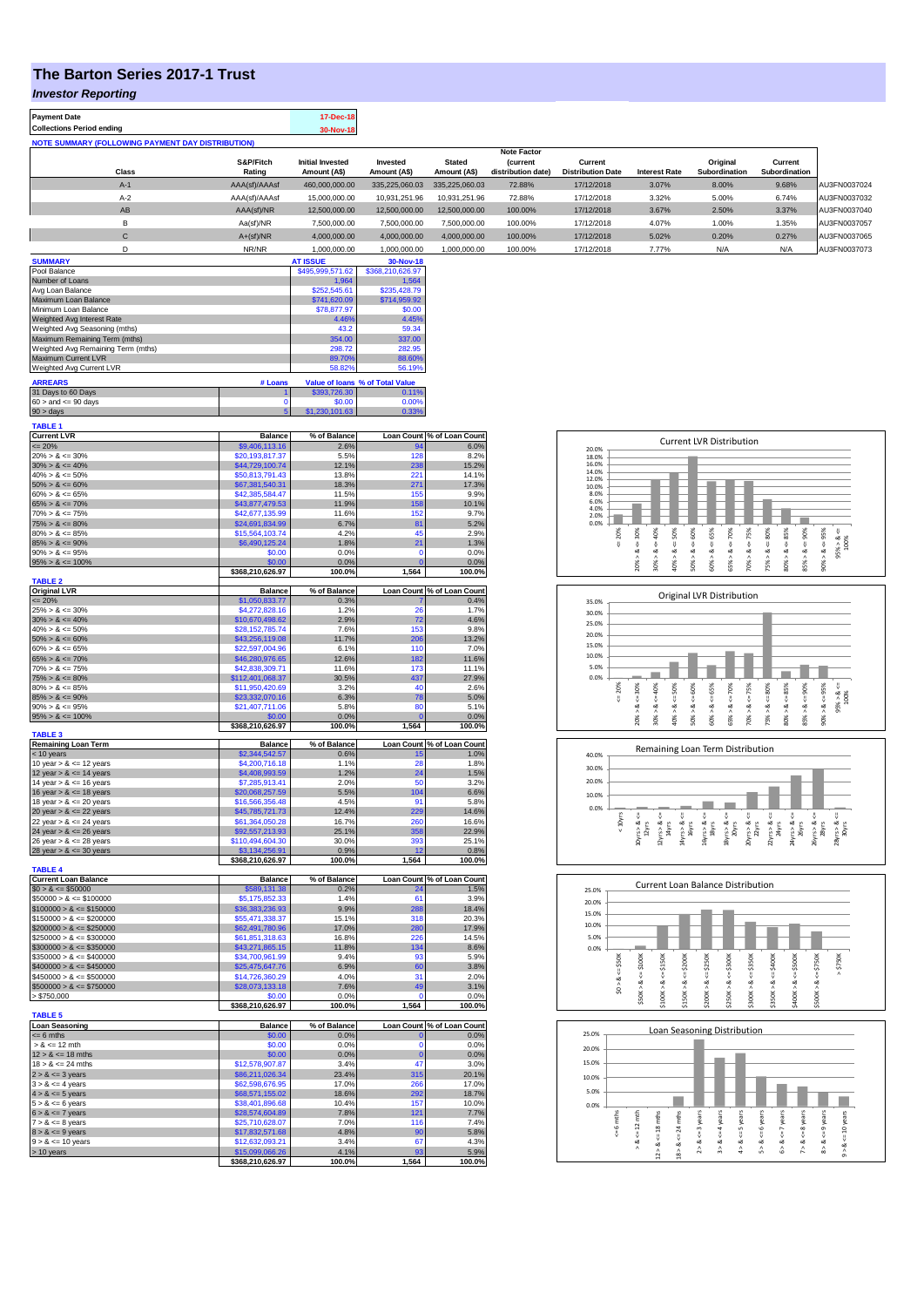## **The Barton Series 2017-1 Trust**

**Payment Date 17-Dec-18** 

*Investor Reporting*

| <b>Collections Period ending</b>                         |                     | 30-Nov-18                               |                          |                               |                                                      |                                     |                      |                           |                          |              |
|----------------------------------------------------------|---------------------|-----------------------------------------|--------------------------|-------------------------------|------------------------------------------------------|-------------------------------------|----------------------|---------------------------|--------------------------|--------------|
| <b>NOTE SUMMARY (FOLLOWING PAYMENT DAY DISTRIBUTION)</b> |                     |                                         |                          |                               |                                                      |                                     |                      |                           |                          |              |
| Class                                                    | S&P/Fitch<br>Rating | <b>Initial Invested</b><br>Amount (A\$) | Invested<br>Amount (A\$) | <b>Stated</b><br>Amount (A\$) | <b>Note Factor</b><br>(current<br>distribution date) | Current<br><b>Distribution Date</b> | <b>Interest Rate</b> | Original<br>Subordination | Current<br>Subordination |              |
| $A-1$                                                    | AAA(sf)/AAAsf       | 460,000,000,00                          | 335.225.060.03           | 335.225.060.03                | 72.88%                                               | 17/12/2018                          | 3.07%                | 8.00%                     | 9.68%                    | AU3FN0037024 |
| $A-2$                                                    | AAA(sf)/AAAsf       | 15,000,000,00                           | 10.931.251.96            | 10.931.251.96                 | 72.88%                                               | 17/12/2018                          | 3.32%                | 5.00%                     | 6.74%                    | AU3FN0037032 |
| <b>AB</b>                                                | AAA(sf)/NR          | 12,500,000,00                           | 12.500.000.00            | 12.500.000.00                 | 100.00%                                              | 17/12/2018                          | 3.67%                | 2.50%                     | 3.37%                    | AU3FN0037040 |
| в                                                        | Aa(sf)/NR           | 7.500.000.00                            | 7.500.000.00             | 7.500.000.00                  | 100.00%                                              | 17/12/2018                          | 4.07%                | 1.00%                     | 1.35%                    | AU3FN0037057 |
| $\mathsf{C}$                                             | $A+(sf)/NR$         | 4.000.000.00                            | 4.000.000.00             | 4.000.000.00                  | 100.00%                                              | 17/12/2018                          | 5.02%                | 0.20%                     | 0.27%                    | AU3FN0037065 |
|                                                          | NR/NR               | 1.000.000.00                            | 1.000.000.00             | 1.000.000.00                  | 100.00%                                              | 17/12/2018                          | 7.77%                | N/A                       | N/A                      | AU3FN0037073 |
| <b>SUMMARY</b>                                           |                     | <b>AT ISSUE</b>                         | 30-Nov-18                |                               |                                                      |                                     |                      |                           |                          |              |

| Pool Balance                       |         | \$495,999,571.62 | \$368,210,626.97                |
|------------------------------------|---------|------------------|---------------------------------|
| Number of Loans                    |         | 1.964            | 1.564                           |
| Avg Loan Balance                   |         | \$252,545.61     | \$235,428.79                    |
| Maximum Loan Balance               |         | \$741,620.09     | \$714,959.92                    |
| Minimum Loan Balance               |         | \$78,877.97      | \$0.00                          |
| Weighted Avg Interest Rate         |         | 4.46%            | 4.45%                           |
| Weighted Avg Seasoning (mths)      |         | 43.2             | 59.34                           |
| Maximum Remaining Term (mths)      |         | 354.00           | 337.00                          |
| Weighted Avg Remaining Term (mths) |         | 298.72           | 282.95                          |
| Maximum Current LVR                |         | 89.70%           | 88.60%                          |
| Weighted Avg Current LVR           |         | 58.82%           | 56.19%                          |
| <b>ARREARS</b>                     | # Loans |                  | Value of Ioans % of Total Value |
| 31 Days to 60 Days                 |         | \$393,726.30     | 0.11%                           |
|                                    |         |                  |                                 |

| $60 >$ and $\leq 90$ days | \$0.00     | 0.00% |
|---------------------------|------------|-------|
| $90 > \text{days}$        | 230.101.63 |       |
| <b>TABLE 1</b>            |            |       |
|                           |            |       |

| <b>Current LVR</b>          | <b>Balance</b>                      | % of Balance   |                | Loan Count % of Loan Count           |
|-----------------------------|-------------------------------------|----------------|----------------|--------------------------------------|
| $= 20%$                     | \$9,406,113.16                      | 2.6%           | 94             | 6.0%                                 |
| $20\% > 8 \le 30\%$         | \$20,193,817.37                     | 5.5%           | 128            | 8.2%                                 |
| $30\% > 8 \le 40\%$         | \$44,729,100.74                     | 12.1%          | 238            | 15.2%                                |
| $40\% > 8 \le 50\%$         | \$50,813,791.43                     | 13.8%          | 221            | 14.1%                                |
| $50\% > 8 \le 60\%$         | \$67,381,540.31                     | 18.3%          | 271            | 17.3%                                |
|                             |                                     |                |                |                                      |
| $60\% > 8 \le 65\%$         | \$42,385,584.47                     | 11.5%          | 155            | 9.9%                                 |
| $65\% > 8 \le 70\%$         | \$43,877,479.53                     | 11.9%          | 158            | 10.1%                                |
| $70\% > 8 \le 75\%$         | \$42,677,135.99                     | 11.6%          | 152            | 9.7%                                 |
| $75\% > 8 \le 80\%$         | \$24,691,834.99                     | 6.7%           | 81             | 5.2%                                 |
| $80\% > 8 \le 85\%$         | \$15,564,103.74                     | 4.2%           | 45             | 2.9%                                 |
| $85\% > 8 \le 90\%$         | \$6,490,125.24                      | 1.8%           | 21             | 1.3%                                 |
| $90\% > 8 \le 95\%$         | \$0.00                              | 0.0%           | $\Omega$       | 0.0%                                 |
|                             |                                     |                |                |                                      |
| $95\% > 8 \le 100\%$        | \$0.00                              | 0.0%           | O              | 0.0%                                 |
|                             | \$368,210,626.97                    | 100.0%         | 1,564          | 100.0%                               |
| <b>TABLE 2</b>              |                                     |                |                |                                      |
| <b>Original LVR</b>         | <b>Balance</b>                      | % of Balance   |                | Loan Count % of Loan Count           |
| $\leq$ 20%                  | \$1,050,833.77                      | 0.3%           |                | 0.4%                                 |
| $25\% > 8 \le 30\%$         | \$4,272,828.16                      | 1.2%           | 26             | 1.7%                                 |
| $30\% > 8 \le 40\%$         | \$10,670,498.62                     | 2.9%           | 72             | 4.6%                                 |
| $40\% > 8 \le 50\%$         |                                     | 7.6%           | 153            | 9.8%                                 |
|                             | \$28,152,785.74                     |                |                |                                      |
| $50\% > 8 \le 60\%$         | \$43,256,119.08                     | 11.7%          | 206            | 13.2%                                |
| $60\% > 8 \le 65\%$         | \$22,597,004.96                     | 6.1%           | 110            | 7.0%                                 |
| $65\% > 8 \le 70\%$         | \$46,280,976.65                     | 12.6%          | 182            | 11.6%                                |
| $70\% > 8 \le 75\%$         | \$42,838,309.71                     | 11.6%          | 173            | 11.1%                                |
| $75\% > 8 \le 80\%$         | \$112,401,068.37                    | 30.5%          | 437            | 27.9%                                |
| $80\% > 8 \le 85\%$         | \$11,950,420.69                     | 3.2%           | 40             | 2.6%                                 |
|                             |                                     |                |                |                                      |
| $85\% > 8 \le 90\%$         | \$23,332,070.16                     | 6.3%           | 78             | 5.0%                                 |
| $90\% > 8 \le 95\%$         | \$21,407,711.06                     | 5.8%           | 80             | 5.1%                                 |
| $95\% > 8 \le 100\%$        | \$0.00                              | 0.0%           | $\overline{0}$ | 0.0%                                 |
|                             | \$368,210,626.97                    | 100.0%         | 1,564          | 100.0%                               |
| TABLE <sub>3</sub>          |                                     |                |                |                                      |
| <b>Remaining Loan Term</b>  | <b>Balance</b>                      | % of Balance   |                | Loan Count % of Loan Count           |
| < 10 years                  | \$2,344,542.57                      | 0.6%           | 15             | 1.0%                                 |
| 10 year $> 8 \le 12$ years  | \$4,200,716.18                      | 1.1%           | 28             | 1.8%                                 |
| 12 year $> 8 \le 14$ years  | \$4,408,993.59                      | 1.2%           | 24             | 1.5%                                 |
| 14 year $> 8 \le 16$ years  | \$7.285.913.41                      | 2.0%           | 50             | 3.2%                                 |
|                             |                                     |                |                |                                      |
| 16 year $> 8 \le 18$ years  | \$20,068,257.59                     | 5.5%           | 104            | 6.6%                                 |
|                             |                                     |                |                |                                      |
| 18 year $> 8 \le 20$ years  | \$16,566,356.48                     | 4.5%           | 91             | 5.8%                                 |
| 20 year $> 8 \le 22$ years  | \$45.785.721.73                     | 12.4%          | 229            | 14.6%                                |
|                             |                                     |                |                |                                      |
| 22 year $> 8 \le 24$ years  | \$61,364,050.28                     | 16.7%          | 260            | 16.6%                                |
| 24 year $> 8 \le 26$ years  | \$92,557,213,93                     | 25.1%          | 358            | 22.9%                                |
| 26 year $> 8 \le 28$ years  | \$110,494,604.30                    | 30.0%          | 393            | 25.1%                                |
| 28 year $> 8 \le 30$ years  | \$3,134,256.91                      | 0.9%           | 12             | 0.8%                                 |
|                             | \$368,210,626.97                    | 100.0%         | 1,564          |                                      |
| <b>TABLE 4</b>              |                                     |                |                |                                      |
| <b>Current Loan Balance</b> | <b>Balance</b>                      | % of Balance   |                | 100.0%<br>Loan Count % of Loan Count |
| $$0 > 8 \le $50000$         | \$589,131.38                        | 0.2%           | 24             | 1.5%                                 |
|                             |                                     | 1.4%           | 61             | 3.9%                                 |
| $$50000 > 8 \le $100000$    | \$5,175,852.33                      |                |                |                                      |
| $$100000 > 8 \le $150000$   | \$36,383,236.93                     | 9.9%           | 288            | 18.4%                                |
| $$150000 > 8 \le $200000$   | \$55,471,338.37                     | 15.1%          | 318            | 20.3%                                |
| $$200000 > 8 \le $250000$   | \$62,491,780.96                     | 17.0%          | 280            | 17.9%                                |
| $$250000 > 8 \le $300000$   | \$61,851,318.63                     | 16.8%          | 226            | 14.5%                                |
| $$300000 > 8 \leq $350000$  | \$43,271,865.15                     | 11.8%          | 134            | 8.6%                                 |
| $$350000 > 8 \le $400000$   | \$34,700,961.99                     | 9.4%           | 93             | 5.9%                                 |
|                             |                                     |                |                |                                      |
| $$400000 > 8 \leq $450000$  | \$25,475,647.76                     | 6.9%           | 60             | 3.8%                                 |
| $$450000 > 8 \le $500000$   | \$14,726,360.29                     | 4.0%           | 31             | 2.0%                                 |
| $$500000 > 8 \le $750000$   | \$28,073,133.18                     | 7.6%           | 49             | 3.1%                                 |
| > \$750,000                 | \$0.00                              | 0.0%           | O              | 0.0%                                 |
|                             | \$368,210,626.97                    | 100.0%         | 1,564          | 100.0%                               |
| <b>TABLE 5</b>              |                                     |                |                |                                      |
| <b>Loan Seasoning</b>       | <b>Balance</b>                      | % of Balance   |                | Loan Count % of Loan Count           |
| $= 6$ mths                  | \$0.00                              | 0.0%           | $\overline{0}$ | 0.0%                                 |
|                             |                                     |                |                |                                      |
| $> 8 \le 12$ mth            | \$0.00                              | 0.0%           | 0              | 0.0%                                 |
| $12 > 8 \le 18$ mths        | \$0.00                              | 0.0%           | $\mathbf{0}$   | 0.0%                                 |
| $18 > 8 \le 24$ mths        | \$12,578,907.87                     | 3.4%           | 47             | 3.0%                                 |
| $2 > 8 \le 3$ years         | \$86,211,026.34                     | 23.4%          | 315            | 20.1%                                |
| $3 > 8 \le 4$ years         | \$62,598,676.95                     | 17.0%          | 266            | 17.0%                                |
| $4 > 8 \le 5$ years         | \$68,571,155.02                     | 18.6%          | 292            | 18.7%                                |
| $5 > 8 \le 6$ years         | \$38,401,896.68                     |                | 157            | 10.0%                                |
|                             |                                     | 10.4%          |                |                                      |
| $6 > 8 \le 7$ years         | \$28,574,604.89                     | 7.8%<br>7.0%   | 121            | 7.7%                                 |
| $7 > 8 \le 8$ years         | \$25,710,628.07                     |                | 116            | 7.4%                                 |
| $8 > 8 \le 9$ years         | \$17,832,571.68                     | 4.8%           | 90             | 5.8%                                 |
| $9 > 8 \le 10$ years        | \$12,632,093.21                     | 3.4%           | 67             | 4.3%                                 |
| > 10 years                  | \$15,099,066.26<br>\$368.210.626.97 | 4.1%<br>100.0% | 93<br>1.564    | 5.9%<br>100.0%                       |

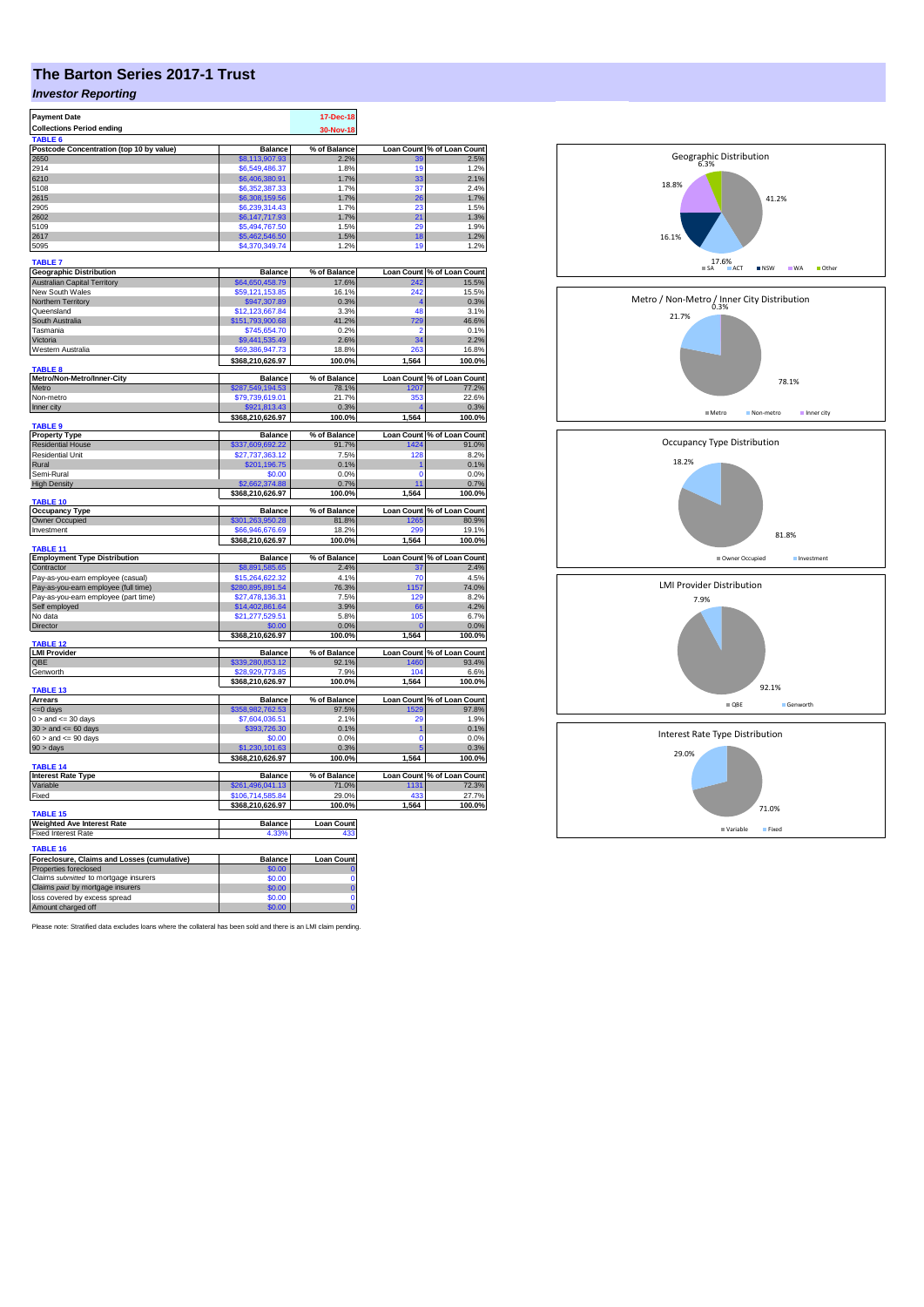## **The Barton Series 2017-1 Trust**

## *Investor Reporting*

| <b>Payment Date</b>                          |                  |                       |                |                            |
|----------------------------------------------|------------------|-----------------------|----------------|----------------------------|
|                                              |                  | 17-Dec-18             |                |                            |
| <b>Collections Period ending</b>             |                  |                       |                |                            |
|                                              |                  | 30-Nov-18             |                |                            |
| <b>TABLE</b>                                 |                  |                       |                |                            |
| Postcode Concentration (top 10 by value)     | <b>Balance</b>   | % of Balance          |                | Loan Count % of Loan Count |
| 2650                                         | \$8,113,907.93   | 2.2%                  | 39             | 2.5%                       |
| 2914                                         | \$6,549,486.37   | 1.8%                  | 19             | 1.2%                       |
| 6210                                         | \$6,406,380.91   | 1.7%                  | 33             | 2.1%                       |
| 5108                                         | \$6,352,387.33   | 1.7%                  | 37             | 2.4%                       |
| 2615                                         | \$6,308,159.56   | 1.7%                  | 26             | 1.7%                       |
| 2905                                         | \$6.239,314.43   | 1.7%                  | 23             | 1.5%                       |
| 2602                                         | \$6,147,717.93   | 1.7%                  | 21             | 1.3%                       |
| 5109                                         | \$5,494,767.50   | 1.5%                  | 20             | 1.9%                       |
| 2617                                         | \$5,462,546.50   | 1.5%                  | 18             | 1.2%                       |
|                                              |                  |                       |                |                            |
| 5095                                         | \$4,370,349.74   | 1.2%                  | 19             | 1.2%                       |
| <b>TABLE 7</b>                               |                  |                       |                |                            |
|                                              |                  |                       |                |                            |
| <b>Geographic Distribution</b>               | <b>Balance</b>   | % of Balance          |                | Loan Count % of Loan Count |
| <b>Australian Capital Territory</b>          | \$64,650,458.79  | 17.6%                 |                | 15.5%                      |
| New South Wales                              | \$59,121,153.85  | 16.1%                 | 242            | 15.5%                      |
| <b>Northern Territory</b>                    | \$947,307.89     | 0.3%                  |                | 0.3%                       |
| Queensland                                   | \$12,123,667.84  | 3.3%                  | 48             | 3.1%                       |
| South Australia                              | \$151,793,900.68 | 41.2%                 | 729            | 46.6%                      |
| Tasmania                                     | \$745.654.70     | 0.2%                  | ö              | 0.1%                       |
| Victoria                                     | \$9,441,535.49   | 2.6%                  | 34             | 2.2%                       |
| Western Australia                            | \$69,386,947.73  | 18.8%                 | 263            | 16.8%                      |
|                                              |                  |                       |                |                            |
|                                              | \$368,210,626.97 | 100.0%                | 1,564          | 100.0%                     |
| <b>TABLE 8</b><br>Metro/Non-Metro/Inner-City |                  | % of Balance          |                | Loan Count % of Loan Count |
|                                              | <b>Balance</b>   |                       |                |                            |
| Metro                                        | \$287,549,194.53 | 78.1%                 | 1207           | 77.2%                      |
| Non-metro                                    | \$79,739,619.01  | 21.7%                 | 353            | 22.6%                      |
| Inner city                                   | \$921,813.43     | 0.3%                  |                | 0.3%                       |
|                                              | \$368,210,626.97 | 100.0%                | 1,564          | 100.0%                     |
| TABLE <sub>9</sub>                           |                  |                       |                |                            |
| <b>Property Type</b>                         | <b>Balance</b>   | % of Balance          |                | Loan Count % of Loan Count |
| <b>Residential House</b>                     | \$337,609,692.22 | 91.7%                 | 1424           | 91.0%                      |
| Residential Unit                             | \$27,737,363.12  | 7.5%                  | 128            | 8.2%                       |
| Rural                                        | \$201,196.75     | 0.1%                  | 1              | 0.1%                       |
| Semi-Rural                                   | \$0.00           | 0.0%                  | 0              | 0.0%                       |
|                                              |                  |                       |                |                            |
| <b>High Density</b>                          | \$2,662,374.88   | 0.7%                  | 11             | 0.7%                       |
|                                              | \$368,210,626.97 | 100.0%                | 1,564          | 100.0%                     |
| TABLE 10                                     |                  |                       |                |                            |
| <b>Occupancy Type</b>                        | <b>Balance</b>   | % of Balance          |                | Loan Count % of Loan Count |
| Owner Occupied                               | \$301,263,950.28 | 81.8%                 | 1265           | 80.9%                      |
| Investment                                   | \$66,946,676,69  | 18.2%                 | 299            | 19.1%                      |
|                                              | \$368,210,626.97 | 100.0%                | 1,564          | 100.0%                     |
| TABLE <sub>11</sub>                          |                  |                       |                |                            |
| <b>Employment Type Distribution</b>          | Balance          | % of Balance          |                | Loan Count % of Loan Count |
| Contractor                                   | \$8,891,585.65   | 2.4%                  | 37             | 2.4%                       |
| Pay-as-you-earn employee (casual)            | \$15,264,622.32  | 4.1%                  | 70             | 4.5%                       |
|                                              | \$280,895,891.54 | 76.3%                 | 1157           | 74.0%                      |
| Pay-as-you-earn employee (full time)         |                  |                       |                |                            |
| Pay-as-you-earn employee (part time)         | \$27,478,136.31  |                       |                |                            |
|                                              |                  | 7.5%                  | 129            | 8.2%                       |
| Self employed                                | \$14,402,861.64  | 3.9%                  | 66             | 4.2%                       |
| No data                                      | \$21,277,529.51  | 5.8%                  | 105            | 6.7%                       |
| Director                                     |                  | 0.0%                  |                |                            |
|                                              | \$0.00           |                       |                | 0.0%                       |
|                                              | \$368,210,626.97 | 100.0%                | 1,564          | 100.0%                     |
| TABLE 12                                     |                  |                       |                |                            |
| <b>LMI Provider</b><br>OBE                   | <b>Balance</b>   | % of Balance<br>92.1% | 1460           | Loan Count % of Loan Count |
|                                              | \$339,280,853.12 | 7.9%                  | 104            | 93.4%<br>6.6%              |
| Genworth                                     | \$28,929,773.85  |                       |                |                            |
|                                              | \$368,210,626.97 | 100.0%                | 1,564          | 100.0%                     |
| TABLE 13                                     |                  |                       |                |                            |
| <b>Arrears</b>                               | <b>Balance</b>   | % of Balance          |                | Loan Count % of Loan Count |
| <= 0 days                                    | \$358,982,762.53 | 97.5%                 | 1529           | 97.8%                      |
| $0 >$ and $\leq$ 30 days                     | \$7,604,036.51   | 2.1%                  | 20             | 1.9%                       |
| $30$ > and <= 60 days                        | \$393,726.30     | 0.1%                  | $\overline{1}$ | 0.1%                       |
| $60 >$ and $\leq 90$ days                    | \$0.00           | 0.0%                  | $\Omega$       | 0.0%                       |
| 90 > days                                    | \$1,230,101,63   | 0.3%                  |                | 0.3%                       |
|                                              | \$368,210,626.97 | 100.0%                | 1,564          | 100.0%                     |
| TABLE <sub>14</sub>                          |                  |                       |                |                            |
| <b>Interest Rate Type</b>                    | <b>Balance</b>   | % of Balance          |                | Loan Count % of Loan Count |
| Variable                                     | \$261,496,041.13 |                       | 1131           | 72.3%                      |
|                                              |                  | 71.0%                 |                |                            |
| Fixed                                        | \$106,714,585.84 | 29.0%                 | 433            | 27.7%                      |
|                                              | \$368,210,626.97 | 100.0%                | 1,564          | 100.0%                     |
| TABLE <sub>15</sub>                          |                  |                       |                |                            |
| <b>Weighted Ave Interest Rate</b>            | <b>Balance</b>   | <b>Loan Count</b>     |                |                            |
| <b>Fixed Interest Rate</b>                   | 4.33%            | 433                   |                |                            |
|                                              |                  |                       |                |                            |
| TABLE 16                                     |                  |                       |                |                            |
| Foreclosure, Claims and Losses (cumulative)  | Balance          | <b>Loan Count</b>     |                |                            |
| Properties foreclosed                        | \$0.00           |                       |                |                            |
| Claims submitted to mortgage insurers        | \$0.00           | $\Omega$              |                |                            |
| Claims paid by mortgage insurers             | \$0.00           | $\overline{0}$        |                |                            |
| loss covered by excess spread                | \$0.00           | $\mathbf 0$           |                |                            |

Please note: Stratified data excludes loans where the collateral has been sold and there is an LMI claim pending.